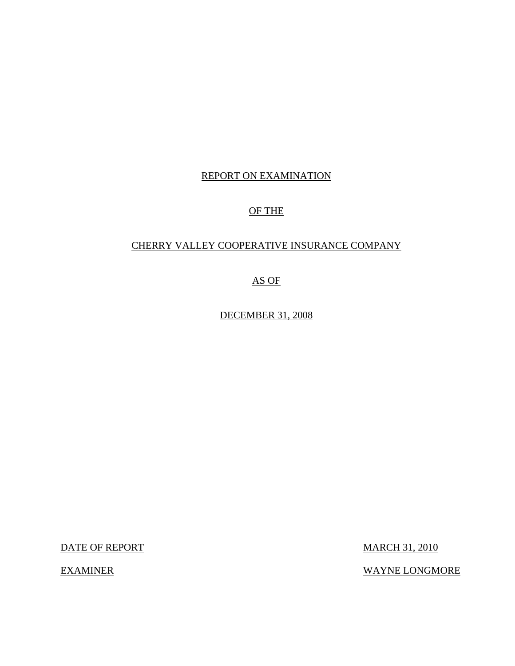# REPORT ON EXAMINATION

# OF THE

# CHERRY VALLEY COOPERATIVE INSURANCE COMPANY

AS OF

DECEMBER 31, 2008

DATE OF REPORT MARCH 31, 2010

EXAMINER WAYNE LONGMORE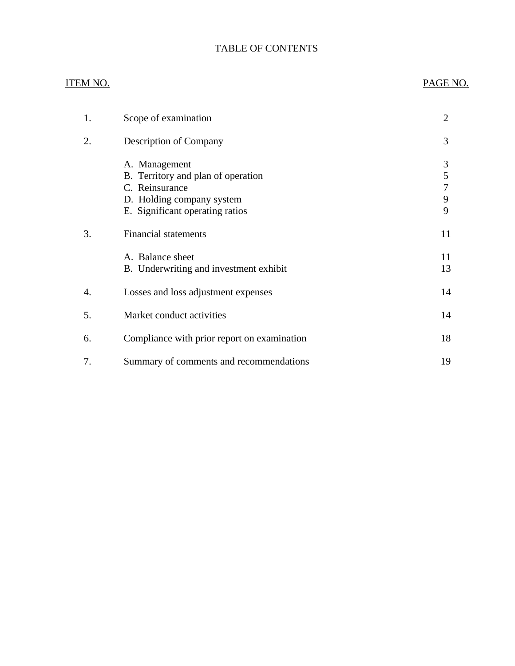# TABLE OF CONTENTS

# ITEM NO. PAGE NO.

| 1. | Scope of examination                                                                                                                  | $\overline{2}$        |
|----|---------------------------------------------------------------------------------------------------------------------------------------|-----------------------|
| 2. | <b>Description of Company</b>                                                                                                         | 3                     |
|    | A. Management<br>B. Territory and plan of operation<br>C. Reinsurance<br>D. Holding company system<br>E. Significant operating ratios | 3<br>5<br>7<br>9<br>9 |
| 3. | <b>Financial statements</b>                                                                                                           | 11                    |
|    | A. Balance sheet<br>B. Underwriting and investment exhibit                                                                            | 11<br>13              |
| 4. | Losses and loss adjustment expenses                                                                                                   | 14                    |
| 5. | Market conduct activities                                                                                                             | 14                    |
| 6. | Compliance with prior report on examination                                                                                           | 18                    |
| 7. | Summary of comments and recommendations                                                                                               | 19                    |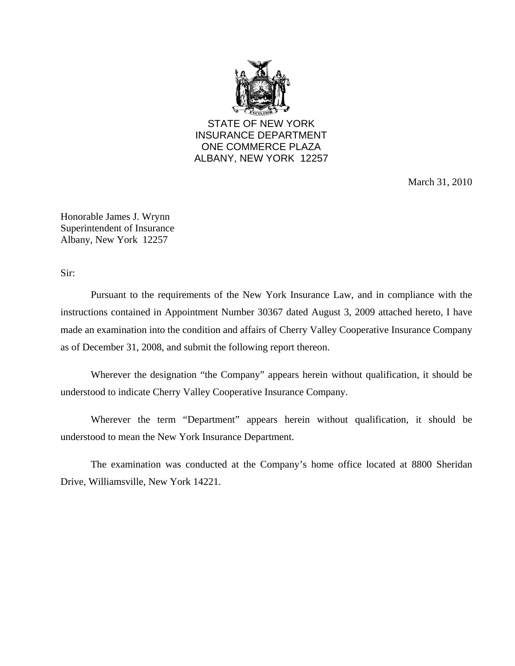

STATE OF NEW YORK INSURANCE DEPARTMENT ONE COMMERCE PLAZA ALBANY, NEW YORK 12257

March 31, 2010

Honorable James J. Wrynn Superintendent of Insurance Albany, New York 12257

Sir:

Pursuant to the requirements of the New York Insurance Law, and in compliance with the instructions contained in Appointment Number 30367 dated August 3, 2009 attached hereto, I have made an examination into the condition and affairs of Cherry Valley Cooperative Insurance Company as of December 31, 2008, and submit the following report thereon.

Wherever the designation "the Company" appears herein without qualification, it should be understood to indicate Cherry Valley Cooperative Insurance Company.

Wherever the term "Department" appears herein without qualification, it should be understood to mean the New York Insurance Department.

The examination was conducted at the Company's home office located at 8800 Sheridan Drive, Williamsville, New York 14221.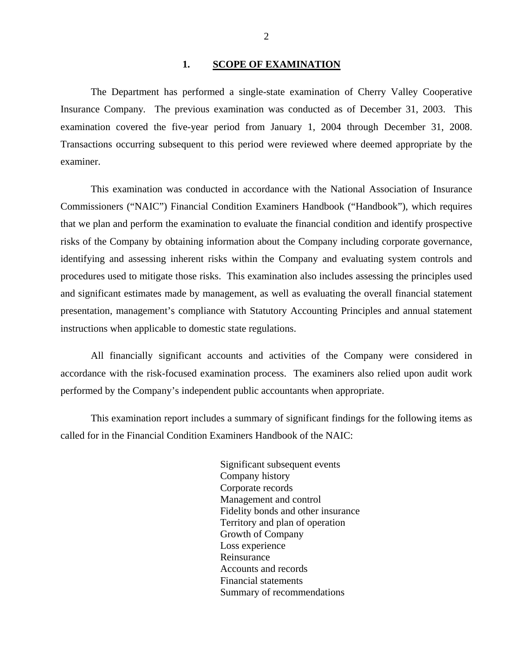## 1. SCOPE OF EXAMINATION

<span id="page-3-0"></span>The Department has performed a single-state examination of Cherry Valley Cooperative Insurance Company*.* The previous examination was conducted as of December 31, 2003. This examination covered the five-year period from January 1, 2004 through December 31, 2008. Transactions occurring subsequent to this period were reviewed where deemed appropriate by the examiner.

This examination was conducted in accordance with the National Association of Insurance Commissioners ("NAIC") Financial Condition Examiners Handbook ("Handbook"), which requires that we plan and perform the examination to evaluate the financial condition and identify prospective risks of the Company by obtaining information about the Company including corporate governance, identifying and assessing inherent risks within the Company and evaluating system controls and procedures used to mitigate those risks. This examination also includes assessing the principles used and significant estimates made by management, as well as evaluating the overall financial statement presentation, management's compliance with Statutory Accounting Principles and annual statement instructions when applicable to domestic state regulations.

All financially significant accounts and activities of the Company were considered in accordance with the risk-focused examination process. The examiners also relied upon audit work performed by the Company's independent public accountants when appropriate.

This examination report includes a summary of significant findings for the following items as called for in the Financial Condition Examiners Handbook of the NAIC:

> Significant subsequent events Company history Corporate records Management and control Fidelity bonds and other insurance Territory and plan of operation Growth of Company Loss experience Reinsurance Accounts and records Financial statements Summary of recommendations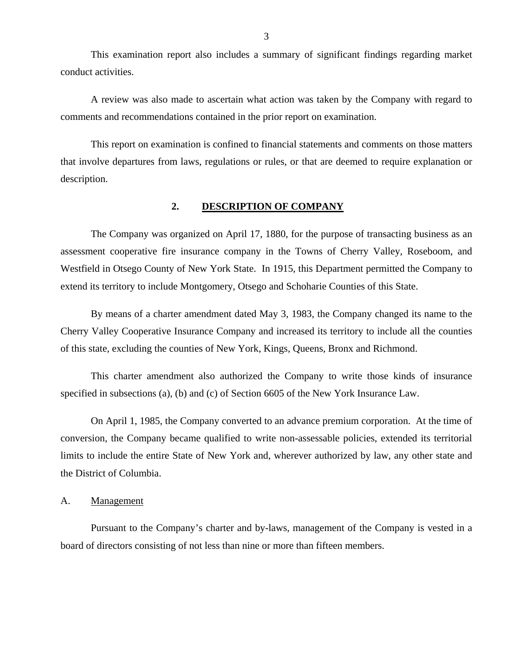<span id="page-4-0"></span>This examination report also includes a summary of significant findings regarding market conduct activities.

A review was also made to ascertain what action was taken by the Company with regard to comments and recommendations contained in the prior report on examination.

This report on examination is confined to financial statements and comments on those matters that involve departures from laws, regulations or rules, or that are deemed to require explanation or description.

## **2. DESCRIPTION OF COMPANY**

The Company was organized on April 17, 1880, for the purpose of transacting business as an assessment cooperative fire insurance company in the Towns of Cherry Valley, Roseboom, and Westfield in Otsego County of New York State. In 1915, this Department permitted the Company to extend its territory to include Montgomery, Otsego and Schoharie Counties of this State.

By means of a charter amendment dated May 3, 1983, the Company changed its name to the Cherry Valley Cooperative Insurance Company and increased its territory to include all the counties of this state, excluding the counties of New York, Kings, Queens, Bronx and Richmond.

This charter amendment also authorized the Company to write those kinds of insurance specified in subsections (a), (b) and (c) of Section 6605 of the New York Insurance Law.

On April 1, 1985, the Company converted to an advance premium corporation. At the time of conversion, the Company became qualified to write non-assessable policies, extended its territorial limits to include the entire State of New York and, wherever authorized by law, any other state and the District of Columbia.

## A. Management

Pursuant to the Company's charter and by-laws, management of the Company is vested in a board of directors consisting of not less than nine or more than fifteen members.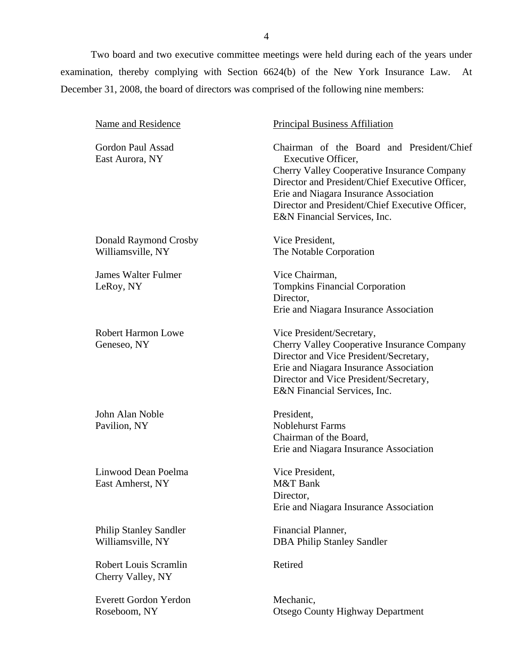Two board and two executive committee meetings were held during each of the years under examination, thereby complying with Section 6624(b) of the New York Insurance Law. At December 31, 2008, the board of directors was comprised of the following nine members:

| Name and Residence                                 | <b>Principal Business Affiliation</b>                                                                                                                                                                                                                                                                 |  |  |
|----------------------------------------------------|-------------------------------------------------------------------------------------------------------------------------------------------------------------------------------------------------------------------------------------------------------------------------------------------------------|--|--|
| Gordon Paul Assad<br>East Aurora, NY               | Chairman of the Board and President/Chief<br>Executive Officer,<br><b>Cherry Valley Cooperative Insurance Company</b><br>Director and President/Chief Executive Officer,<br>Erie and Niagara Insurance Association<br>Director and President/Chief Executive Officer,<br>E&N Financial Services, Inc. |  |  |
| Donald Raymond Crosby<br>Williamsville, NY         | Vice President,<br>The Notable Corporation                                                                                                                                                                                                                                                            |  |  |
| <b>James Walter Fulmer</b><br>LeRoy, NY            | Vice Chairman,<br><b>Tompkins Financial Corporation</b><br>Director,<br>Erie and Niagara Insurance Association                                                                                                                                                                                        |  |  |
| <b>Robert Harmon Lowe</b><br>Geneseo, NY           | Vice President/Secretary,<br>Cherry Valley Cooperative Insurance Company<br>Director and Vice President/Secretary,<br>Erie and Niagara Insurance Association<br>Director and Vice President/Secretary,<br>E&N Financial Services, Inc.                                                                |  |  |
| John Alan Noble<br>Pavilion, NY                    | President,<br><b>Noblehurst Farms</b><br>Chairman of the Board,<br>Erie and Niagara Insurance Association                                                                                                                                                                                             |  |  |
| Linwood Dean Poelma<br>East Amherst, NY            | Vice President,<br>M&T Bank<br>Director,<br>Erie and Niagara Insurance Association                                                                                                                                                                                                                    |  |  |
| <b>Philip Stanley Sandler</b><br>Williamsville, NY | Financial Planner,<br><b>DBA Philip Stanley Sandler</b>                                                                                                                                                                                                                                               |  |  |
| <b>Robert Louis Scramlin</b><br>Cherry Valley, NY  | Retired                                                                                                                                                                                                                                                                                               |  |  |
| <b>Everett Gordon Yerdon</b><br>Roseboom, NY       | Mechanic,<br><b>Otsego County Highway Department</b>                                                                                                                                                                                                                                                  |  |  |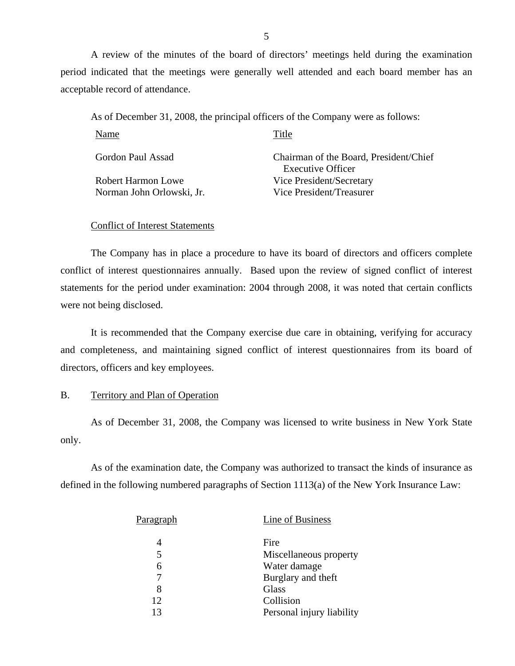A review of the minutes of the board of directors' meetings held during the examination period indicated that the meetings were generally well attended and each board member has an acceptable record of attendance.

As of December 31, 2008, the principal officers of the Company were as follows:

| Name                      | Title                                                              |
|---------------------------|--------------------------------------------------------------------|
| Gordon Paul Assad         | Chairman of the Board, President/Chief<br><b>Executive Officer</b> |
| Robert Harmon Lowe        | Vice President/Secretary                                           |
| Norman John Orlowski, Jr. | Vice President/Treasurer                                           |

# Conflict of Interest Statements

The Company has in place a procedure to have its board of directors and officers complete conflict of interest questionnaires annually. Based upon the review of signed conflict of interest statements for the period under examination: 2004 through 2008, it was noted that certain conflicts were not being disclosed.

It is recommended that the Company exercise due care in obtaining, verifying for accuracy and completeness, and maintaining signed conflict of interest questionnaires from its board of directors, officers and key employees.

## B. Territory and Plan of Operation

As of December 31, 2008, the Company was licensed to write business in New York State only.

As of the examination date, the Company was authorized to transact the kinds of insurance as defined in the following numbered paragraphs of Section 1113(a) of the New York Insurance Law:

| <u>Paragraph</u> | Line of Business          |
|------------------|---------------------------|
|                  | Fire                      |
| 5                | Miscellaneous property    |
|                  | Water damage              |
|                  | Burglary and theft        |
| 8                | Glass                     |
| 12               | Collision                 |
| 13               | Personal injury liability |
|                  |                           |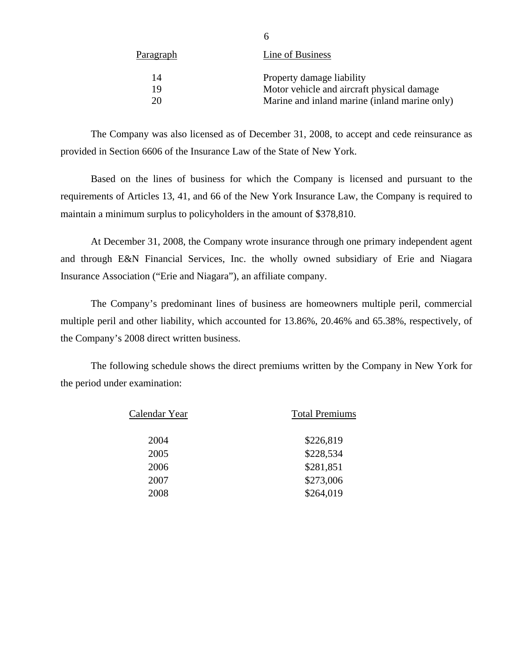| <u>Paragraph</u> | Line of Business                              |
|------------------|-----------------------------------------------|
| 14               | Property damage liability                     |
| 19               | Motor vehicle and aircraft physical damage    |
| 20               | Marine and inland marine (inland marine only) |
|                  |                                               |

The Company was also licensed as of December 31, 2008, to accept and cede reinsurance as provided in Section 6606 of the Insurance Law of the State of New York.

6

Based on the lines of business for which the Company is licensed and pursuant to the requirements of Articles 13, 41, and 66 of the New York Insurance Law, the Company is required to maintain a minimum surplus to policyholders in the amount of \$378,810.

At December 31, 2008, the Company wrote insurance through one primary independent agent and through E&N Financial Services, Inc. the wholly owned subsidiary of Erie and Niagara Insurance Association ("Erie and Niagara"), an affiliate company.

The Company's predominant lines of business are homeowners multiple peril, commercial multiple peril and other liability, which accounted for 13.86%, 20.46% and 65.38%, respectively, of the Company's 2008 direct written business.

The following schedule shows the direct premiums written by the Company in New York for the period under examination:

| Calendar Year | <b>Total Premiums</b> |  |  |
|---------------|-----------------------|--|--|
| 2004          | \$226,819             |  |  |
| 2005          | \$228,534             |  |  |
| 2006          | \$281,851             |  |  |
| 2007          | \$273,006             |  |  |
| 2008          | \$264,019             |  |  |
|               |                       |  |  |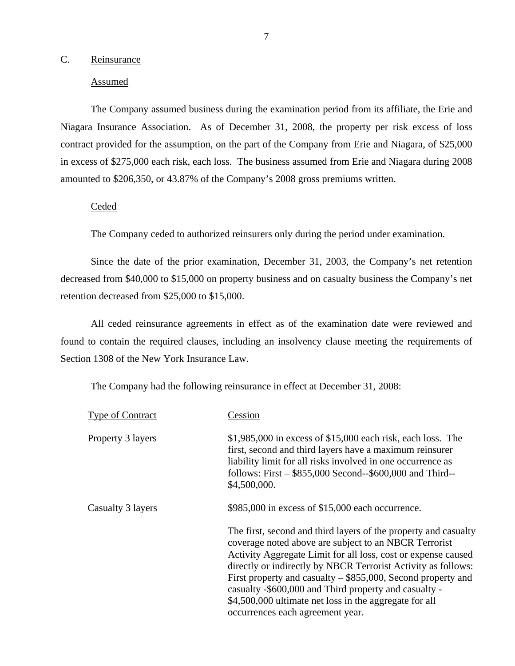## <span id="page-8-0"></span>C. Reinsurance

## Assumed

The Company assumed business during the examination period from its affiliate, the Erie and Niagara Insurance Association. As of December 31, 2008, the property per risk excess of loss contract provided for the assumption, on the part of the Company from Erie and Niagara, of \$25,000 in excess of \$275,000 each risk, each loss. The business assumed from Erie and Niagara during 2008 amounted to \$206,350, or 43.87% of the Company's 2008 gross premiums written.

## Ceded

The Company ceded to authorized reinsurers only during the period under examination.

Since the date of the prior examination, December 31, 2003, the Company's net retention decreased from \$40,000 to \$15,000 on property business and on casualty business the Company's net retention decreased from \$25,000 to \$15,000.

All ceded reinsurance agreements in effect as of the examination date were reviewed and found to contain the required clauses, including an insolvency clause meeting the requirements of Section 1308 of the New York Insurance Law.

The Company had the following reinsurance in effect at December 31, 2008:

| <b>Type of Contract</b> | Cession                                                                                                                                                                                                                                                                                                                                                                                                                                                                             |
|-------------------------|-------------------------------------------------------------------------------------------------------------------------------------------------------------------------------------------------------------------------------------------------------------------------------------------------------------------------------------------------------------------------------------------------------------------------------------------------------------------------------------|
| Property 3 layers       | $$1,985,000$ in excess of $$15,000$ each risk, each loss. The<br>first, second and third layers have a maximum reinsurer<br>liability limit for all risks involved in one occurrence as<br>follows: First - \$855,000 Second--\$600,000 and Third--<br>\$4,500,000.                                                                                                                                                                                                                 |
| Casualty 3 layers       | $$985,000$ in excess of $$15,000$ each occurrence.                                                                                                                                                                                                                                                                                                                                                                                                                                  |
|                         | The first, second and third layers of the property and casualty<br>coverage noted above are subject to an NBCR Terrorist<br>Activity Aggregate Limit for all loss, cost or expense caused<br>directly or indirectly by NBCR Terrorist Activity as follows:<br>First property and casualty $-$ \$855,000, Second property and<br>casualty -\$600,000 and Third property and casualty -<br>\$4,500,000 ultimate net loss in the aggregate for all<br>occurrences each agreement year. |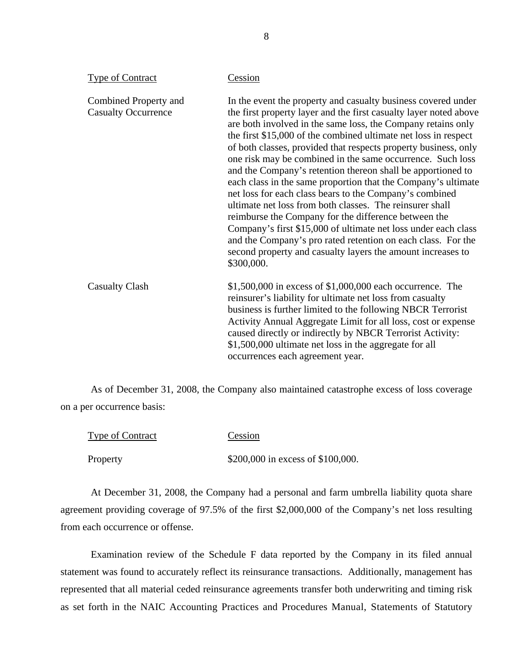| <b>Type of Contract</b>                             | Cession                                                                                                                                                                                                                                                                                                                                                                                                                                                                                                                                                                                                                                                                                                                                                                                                                                                                                                                              |
|-----------------------------------------------------|--------------------------------------------------------------------------------------------------------------------------------------------------------------------------------------------------------------------------------------------------------------------------------------------------------------------------------------------------------------------------------------------------------------------------------------------------------------------------------------------------------------------------------------------------------------------------------------------------------------------------------------------------------------------------------------------------------------------------------------------------------------------------------------------------------------------------------------------------------------------------------------------------------------------------------------|
| Combined Property and<br><b>Casualty Occurrence</b> | In the event the property and casualty business covered under<br>the first property layer and the first casualty layer noted above<br>are both involved in the same loss, the Company retains only<br>the first \$15,000 of the combined ultimate net loss in respect<br>of both classes, provided that respects property business, only<br>one risk may be combined in the same occurrence. Such loss<br>and the Company's retention thereon shall be apportioned to<br>each class in the same proportion that the Company's ultimate<br>net loss for each class bears to the Company's combined<br>ultimate net loss from both classes. The reinsurer shall<br>reimburse the Company for the difference between the<br>Company's first \$15,000 of ultimate net loss under each class<br>and the Company's pro rated retention on each class. For the<br>second property and casualty layers the amount increases to<br>\$300,000. |
| <b>Casualty Clash</b>                               | $$1,500,000$ in excess of $$1,000,000$ each occurrence. The<br>reinsurer's liability for ultimate net loss from casualty<br>business is further limited to the following NBCR Terrorist<br>Activity Annual Aggregate Limit for all loss, cost or expense<br>caused directly or indirectly by NBCR Terrorist Activity:<br>\$1,500,000 ultimate net loss in the aggregate for all<br>occurrences each agreement year.                                                                                                                                                                                                                                                                                                                                                                                                                                                                                                                  |

As of December 31, 2008, the Company also maintained catastrophe excess of loss coverage on a per occurrence basis:

| <b>Type of Contract</b> | Cession                           |
|-------------------------|-----------------------------------|
| Property                | \$200,000 in excess of \$100,000. |

At December 31, 2008, the Company had a personal and farm umbrella liability quota share agreement providing coverage of 97.5% of the first \$2,000,000 of the Company's net loss resulting from each occurrence or offense.

Examination review of the Schedule F data reported by the Company in its filed annual statement was found to accurately reflect its reinsurance transactions. Additionally, management has represented that all material ceded reinsurance agreements transfer both underwriting and timing risk as set forth in the NAIC Accounting Practices and Procedures Manual, Statements of Statutory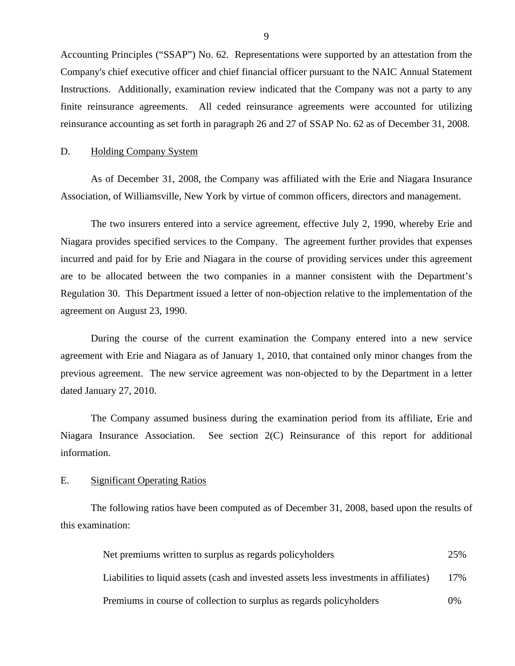Accounting Principles ("SSAP") No. 62. Representations were supported by an attestation from the Company's chief executive officer and chief financial officer pursuant to the NAIC Annual Statement Instructions. Additionally, examination review indicated that the Company was not a party to any finite reinsurance agreements. All ceded reinsurance agreements were accounted for utilizing reinsurance accounting as set forth in paragraph 26 and 27 of SSAP No. 62 as of December 31, 2008.

## D. Holding Company System

As of December 31, 2008, the Company was affiliated with the Erie and Niagara Insurance Association, of Williamsville, New York by virtue of common officers, directors and management.

The two insurers entered into a service agreement, effective July 2, 1990, whereby Erie and Niagara provides specified services to the Company. The agreement further provides that expenses incurred and paid for by Erie and Niagara in the course of providing services under this agreement are to be allocated between the two companies in a manner consistent with the Department's Regulation 30. This Department issued a letter of non-objection relative to the implementation of the agreement on August 23, 1990.

During the course of the current examination the Company entered into a new service agreement with Erie and Niagara as of January 1, 2010, that contained only minor changes from the previous agreement. The new service agreement was non-objected to by the Department in a letter dated January 27, 2010.

The Company assumed business during the examination period from its affiliate, Erie and Niagara Insurance Association. See section 2(C) Reinsurance of this report for additional information.

## E. Significant Operating Ratios

The following ratios have been computed as of December 31, 2008, based upon the results of this examination:

| Net premiums written to surplus as regards policyholders                               | 25%    |
|----------------------------------------------------------------------------------------|--------|
| Liabilities to liquid assets (cash and invested assets less investments in affiliates) | $17\%$ |
| Premiums in course of collection to surplus as regards policyholders                   | $0\%$  |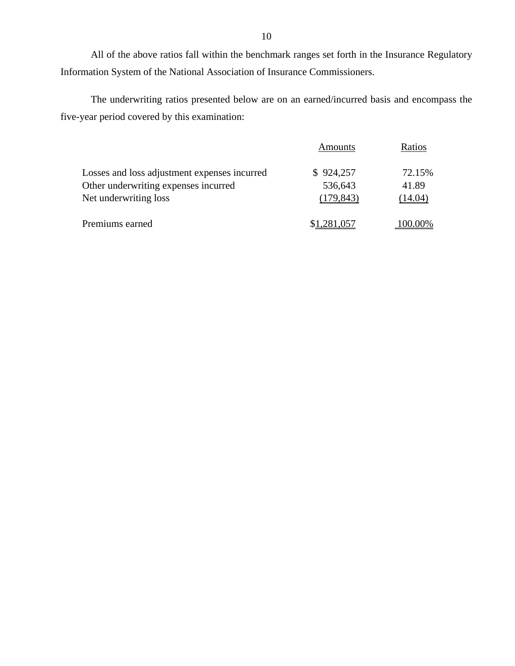All of the above ratios fall within the benchmark ranges set forth in the Insurance Regulatory Information System of the National Association of Insurance Commissioners.

The underwriting ratios presented below are on an earned/incurred basis and encompass the five-year period covered by this examination:

|                                              | <b>Amounts</b> | Ratios  |
|----------------------------------------------|----------------|---------|
| Losses and loss adjustment expenses incurred | \$924,257      | 72.15%  |
| Other underwriting expenses incurred         | 536,643        | 41.89   |
| Net underwriting loss                        | (179, 843)     | (14.04) |
| Premiums earned                              | \$1,281,057    | 100.00% |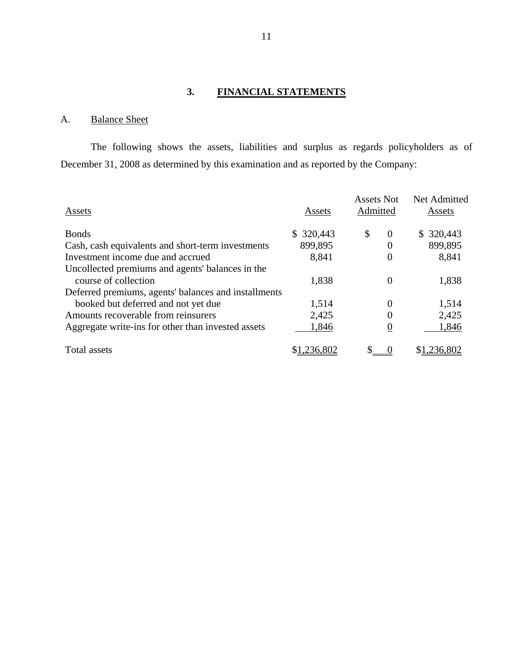# **3. FINANCIAL STATEMENTS**

# A. Balance Sheet

The following shows the assets, liabilities and surplus as regards policyholders as of December 31, 2008 as determined by this examination and as reported by the Company:

| Assets                                                                   | Assets    | <b>Assets Not</b><br>Admitted | Net Admitted<br>Assets |
|--------------------------------------------------------------------------|-----------|-------------------------------|------------------------|
| <b>Bonds</b>                                                             | \$320,443 | \$<br>$\theta$                | \$320,443              |
| Cash, cash equivalents and short-term investments                        | 899,895   | $\Omega$                      | 899,895                |
| Investment income due and accrued                                        | 8,841     | $\overline{0}$                | 8,841                  |
| Uncollected premiums and agents' balances in the<br>course of collection | 1,838     | $\Omega$                      | 1,838                  |
| Deferred premiums, agents' balances and installments                     |           |                               |                        |
| booked but deferred and not yet due                                      | 1,514     | $\Omega$                      | 1,514                  |
| Amounts recoverable from reinsurers                                      | 2,425     | 0                             | 2,425                  |
| Aggregate write-ins for other than invested assets                       | 1,846     | $\theta$                      | 1,846                  |
| Total assets                                                             | .236.802  |                               | .236.802               |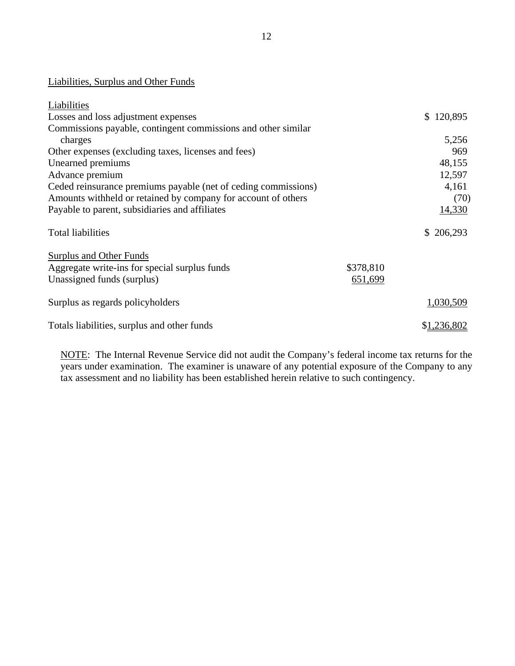# Liabilities, Surplus and Other Funds

| Liabilities                                                    |           |               |
|----------------------------------------------------------------|-----------|---------------|
| Losses and loss adjustment expenses                            |           | 120,895<br>S. |
| Commissions payable, contingent commissions and other similar  |           |               |
| charges                                                        |           | 5,256         |
| Other expenses (excluding taxes, licenses and fees)            |           | 969           |
| Unearned premiums                                              |           | 48,155        |
| Advance premium                                                |           | 12,597        |
| Ceded reinsurance premiums payable (net of ceding commissions) |           | 4,161         |
| Amounts withheld or retained by company for account of others  |           | (70)          |
| Payable to parent, subsidiaries and affiliates                 |           | 14,330        |
| <b>Total liabilities</b>                                       |           | \$206,293     |
| Surplus and Other Funds                                        |           |               |
| Aggregate write-ins for special surplus funds                  | \$378,810 |               |
| Unassigned funds (surplus)                                     | 651,699   |               |
| Surplus as regards policyholders                               |           | 1,030,509     |
| Totals liabilities, surplus and other funds                    |           | \$1,236,802   |

NOTE: The Internal Revenue Service did not audit the Company's federal income tax returns for the years under examination. The examiner is unaware of any potential exposure of the Company to any tax assessment and no liability has been established herein relative to such contingency.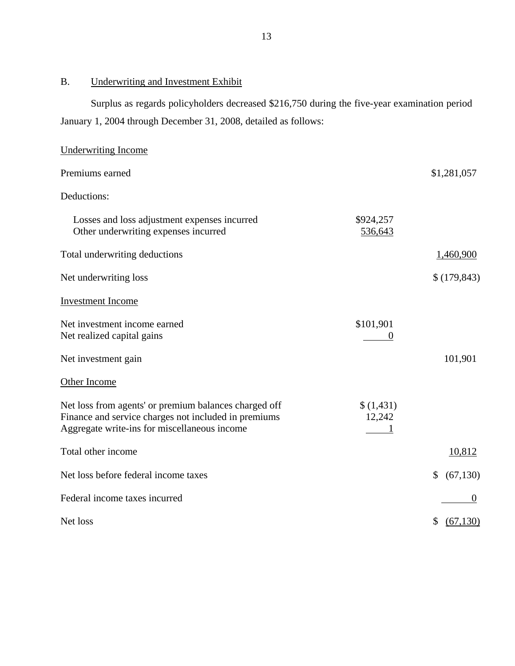# B. Underwriting and Investment Exhibit

Surplus as regards policyholders decreased \$216,750 during the five-year examination period January 1, 2004 through December 31, 2008, detailed as follows:

| Underwriting Income                                                                                                                                           |                       |                  |
|---------------------------------------------------------------------------------------------------------------------------------------------------------------|-----------------------|------------------|
| Premiums earned                                                                                                                                               |                       | \$1,281,057      |
| Deductions:                                                                                                                                                   |                       |                  |
| Losses and loss adjustment expenses incurred<br>Other underwriting expenses incurred                                                                          | \$924,257<br>536,643  |                  |
| Total underwriting deductions                                                                                                                                 |                       | 1,460,900        |
| Net underwriting loss                                                                                                                                         |                       | \$(179, 843)     |
| <b>Investment Income</b>                                                                                                                                      |                       |                  |
| Net investment income earned<br>Net realized capital gains                                                                                                    | \$101,901<br>$\theta$ |                  |
| Net investment gain                                                                                                                                           |                       | 101,901          |
| <b>Other Income</b>                                                                                                                                           |                       |                  |
| Net loss from agents' or premium balances charged off<br>Finance and service charges not included in premiums<br>Aggregate write-ins for miscellaneous income | \$(1,431)<br>12,242   |                  |
| Total other income                                                                                                                                            |                       | 10,812           |
| Net loss before federal income taxes                                                                                                                          |                       | \$<br>(67,130)   |
| Federal income taxes incurred                                                                                                                                 |                       | $\boldsymbol{0}$ |
| Net loss                                                                                                                                                      |                       | \$<br>(67, 130)  |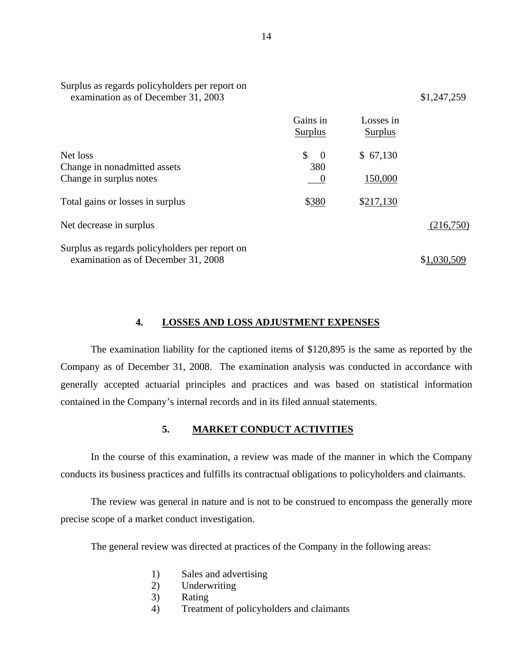| examination as of December 31, 2003            |                      |                      | \$1,247,259 |
|------------------------------------------------|----------------------|----------------------|-------------|
|                                                | Gains in<br>Surplus  | Losses in<br>Surplus |             |
| Net loss                                       | \$<br>$\overline{0}$ | \$67,130             |             |
| Change in nonadmitted assets                   | 380                  |                      |             |
| Change in surplus notes                        | $\theta$             | 150,000              |             |
| Total gains or losses in surplus               | \$380                | \$217,130            |             |
| Net decrease in surplus                        |                      |                      | (216,750)   |
| Surplus as regards policyholders per report on |                      |                      |             |
| examination as of December 31, 2008            |                      |                      | \$1,030,509 |

## **4. LOSSES AND LOSS ADJUSTMENT EXPENSES**

The examination liability for the captioned items of \$120,895 is the same as reported by the Company as of December 31, 2008. The examination analysis was conducted in accordance with generally accepted actuarial principles and practices and was based on statistical information contained in the Company's internal records and in its filed annual statements.

## **5. MARKET CONDUCT ACTIVITIES**

In the course of this examination, a review was made of the manner in which the Company conducts its business practices and fulfills its contractual obligations to policyholders and claimants.

The review was general in nature and is not to be construed to encompass the generally more precise scope of a market conduct investigation.

The general review was directed at practices of the Company in the following areas:

- 1) Sales and advertising
- 2) Underwriting
- 3) Rating
- 4) Treatment of policyholders and claimants

Surplus as regards policyholders per report on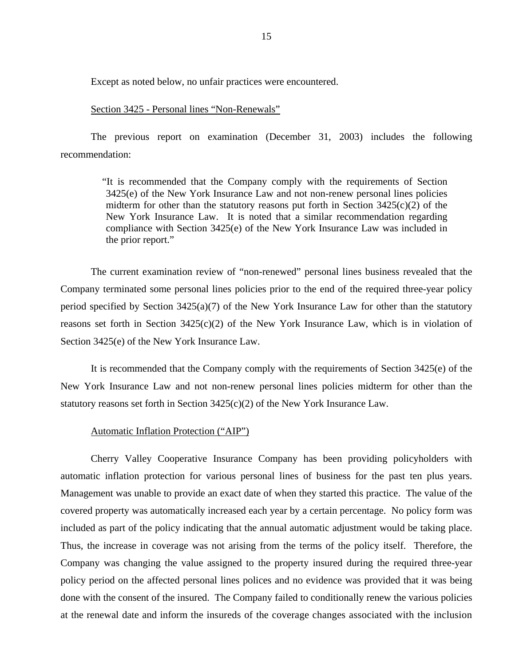Except as noted below, no unfair practices were encountered.

## Section 3425 - Personal lines "Non-Renewals"

The previous report on examination (December 31, 2003) includes the following recommendation:

> "It is recommended that the Company comply with the requirements of Section 3425(e) of the New York Insurance Law and not non-renew personal lines policies midterm for other than the statutory reasons put forth in Section  $3425(c)(2)$  of the New York Insurance Law. It is noted that a similar recommendation regarding compliance with Section 3425(e) of the New York Insurance Law was included in the prior report."

The current examination review of "non-renewed" personal lines business revealed that the Company terminated some personal lines policies prior to the end of the required three-year policy period specified by Section 3425(a)(7) of the New York Insurance Law for other than the statutory reasons set forth in Section  $3425(c)(2)$  of the New York Insurance Law, which is in violation of Section 3425(e) of the New York Insurance Law.

It is recommended that the Company comply with the requirements of Section 3425(e) of the New York Insurance Law and not non-renew personal lines policies midterm for other than the statutory reasons set forth in Section 3425(c)(2) of the New York Insurance Law.

## Automatic Inflation Protection ("AIP")

Cherry Valley Cooperative Insurance Company has been providing policyholders with automatic inflation protection for various personal lines of business for the past ten plus years. Management was unable to provide an exact date of when they started this practice. The value of the covered property was automatically increased each year by a certain percentage. No policy form was included as part of the policy indicating that the annual automatic adjustment would be taking place. Thus, the increase in coverage was not arising from the terms of the policy itself. Therefore, the Company was changing the value assigned to the property insured during the required three-year policy period on the affected personal lines polices and no evidence was provided that it was being done with the consent of the insured. The Company failed to conditionally renew the various policies at the renewal date and inform the insureds of the coverage changes associated with the inclusion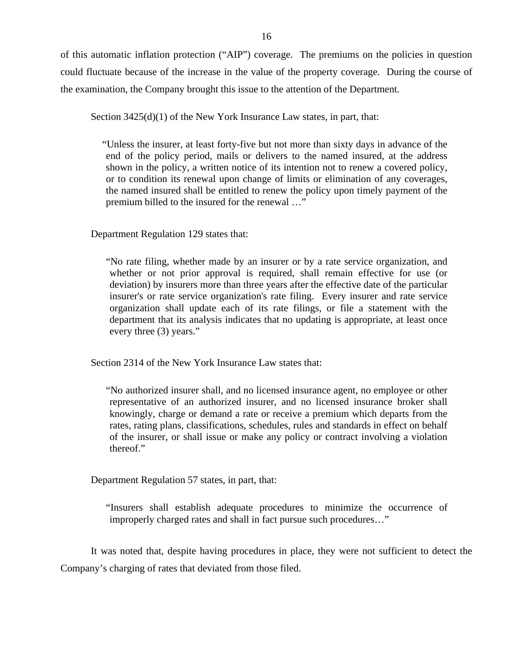of this automatic inflation protection ("AIP") coverage. The premiums on the policies in question could fluctuate because of the increase in the value of the property coverage. During the course of the examination, the Company brought this issue to the attention of the Department.

Section  $3425(d)(1)$  of the New York Insurance Law states, in part, that:

"Unless the insurer, at least forty-five but not more than sixty days in advance of the end of the policy period, mails or delivers to the named insured, at the address shown in the policy, a written notice of its intention not to renew a covered policy, or to condition its renewal upon change of limits or elimination of any coverages, the named insured shall be entitled to renew the policy upon timely payment of the premium billed to the insured for the renewal …"

Department Regulation 129 states that:

"No rate filing, whether made by an insurer or by a rate service organization, and whether or not prior approval is required, shall remain effective for use (or deviation) by insurers more than three years after the effective date of the particular insurer's or rate service organization's rate filing. Every insurer and rate service organization shall update each of its rate filings, or file a statement with the department that its analysis indicates that no updating is appropriate, at least once every three (3) years."

Section 2314 of the New York Insurance Law states that:

"No authorized insurer shall, and no licensed insurance agent, no employee or other representative of an authorized insurer, and no licensed insurance broker shall knowingly, charge or demand a rate or receive a premium which departs from the rates, rating plans, classifications, schedules, rules and standards in effect on behalf of the insurer, or shall issue or make any policy or contract involving a violation thereof."

Department Regulation 57 states, in part, that:

"Insurers shall establish adequate procedures to minimize the occurrence of improperly charged rates and shall in fact pursue such procedures…"

It was noted that, despite having procedures in place, they were not sufficient to detect the Company's charging of rates that deviated from those filed.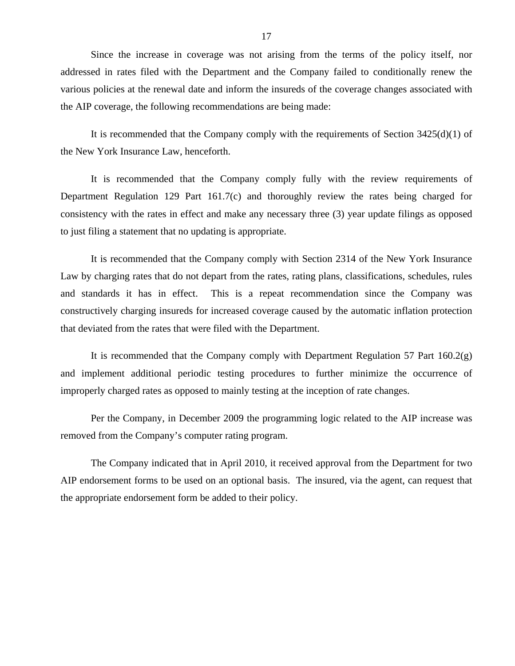Since the increase in coverage was not arising from the terms of the policy itself, nor addressed in rates filed with the Department and the Company failed to conditionally renew the various policies at the renewal date and inform the insureds of the coverage changes associated with the AIP coverage, the following recommendations are being made:

It is recommended that the Company comply with the requirements of Section 3425(d)(1) of the New York Insurance Law, henceforth.

It is recommended that the Company comply fully with the review requirements of Department Regulation 129 Part 161.7(c) and thoroughly review the rates being charged for consistency with the rates in effect and make any necessary three (3) year update filings as opposed to just filing a statement that no updating is appropriate.

It is recommended that the Company comply with Section 2314 of the New York Insurance Law by charging rates that do not depart from the rates, rating plans, classifications, schedules, rules and standards it has in effect. This is a repeat recommendation since the Company was constructively charging insureds for increased coverage caused by the automatic inflation protection that deviated from the rates that were filed with the Department.

It is recommended that the Company comply with Department Regulation 57 Part 160.2(g) and implement additional periodic testing procedures to further minimize the occurrence of improperly charged rates as opposed to mainly testing at the inception of rate changes.

Per the Company, in December 2009 the programming logic related to the AIP increase was removed from the Company's computer rating program.

The Company indicated that in April 2010, it received approval from the Department for two AIP endorsement forms to be used on an optional basis. The insured, via the agent, can request that the appropriate endorsement form be added to their policy.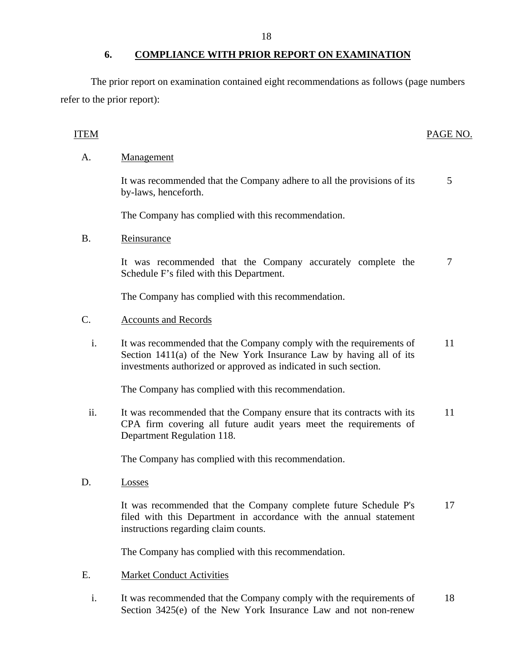<span id="page-19-0"></span>The prior report on examination contained eight recommendations as follows (page numbers refer to the prior report):

# ITEM PAGE NO.

# A. Management

It was recommended that the Company adhere to all the provisions of its  $\frac{5}{5}$ by-laws, henceforth.

The Company has complied with this recommendation.

# B. Reinsurance

It was recommended that the Company accurately complete the 7 Schedule F's filed with this Department.

The Company has complied with this recommendation.

# C. Accounts and Records

i. It was recommended that the Company comply with the requirements of 11 Section 1411(a) of the New York Insurance Law by having all of its investments authorized or approved as indicated in such section.

The Company has complied with this recommendation.

ii. It was recommended that the Company ensure that its contracts with its 11 CPA firm covering all future audit years meet the requirements of Department Regulation 118.

The Company has complied with this recommendation.

D. Losses

It was recommended that the Company complete future Schedule P's 17 filed with this Department in accordance with the annual statement instructions regarding claim counts.

The Company has complied with this recommendation.

- E. Market Conduct Activities
	- i. It was recommended that the Company comply with the requirements of 18 Section 3425(e) of the New York Insurance Law and not non-renew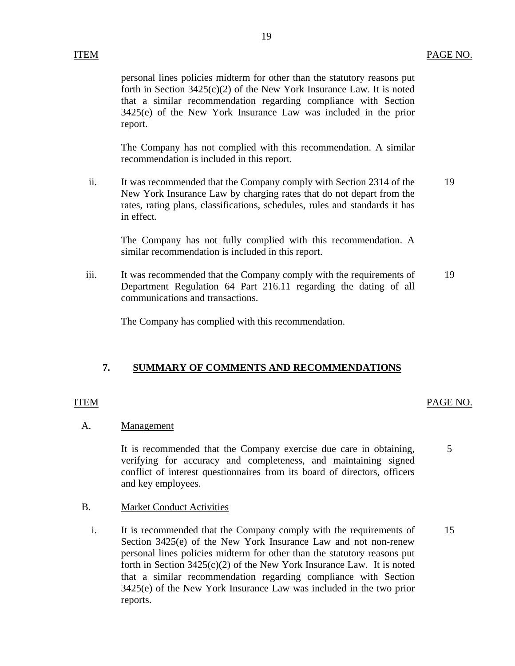personal lines policies midterm for other than the statutory reasons put forth in Section 3425(c)(2) of the New York Insurance Law. It is noted that a similar recommendation regarding compliance with Section 3425(e) of the New York Insurance Law was included in the prior report.

The Company has not complied with this recommendation. A similar recommendation is included in this report.

ii. It was recommended that the Company comply with Section 2314 of the New York Insurance Law by charging rates that do not depart from the rates, rating plans, classifications, schedules, rules and standards it has in effect. 19

The Company has not fully complied with this recommendation. A similar recommendation is included in this report.

iii. It was recommended that the Company comply with the requirements of Department Regulation 64 Part 216.11 regarding the dating of all communications and transactions. 19

The Company has complied with this recommendation.

## **7. SUMMARY OF COMMENTS AND RECOMMENDATIONS**

# ITEM PAGE NO.

5

# A. Management

It is recommended that the Company exercise due care in obtaining, verifying for accuracy and completeness, and maintaining signed conflict of interest questionnaires from its board of directors, officers and key employees.

## B. Market Conduct Activities

i. It is recommended that the Company comply with the requirements of Section 3425(e) of the New York Insurance Law and not non-renew personal lines policies midterm for other than the statutory reasons put forth in Section 3425(c)(2) of the New York Insurance Law. It is noted that a similar recommendation regarding compliance with Section 3425(e) of the New York Insurance Law was included in the two prior reports. 15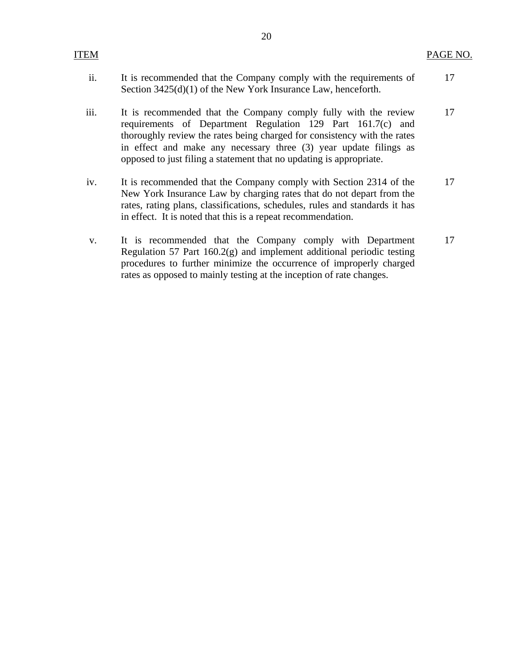| ITEM |                                                                                                                                                                                                                                                                                                                                                        | PAGE NO. |
|------|--------------------------------------------------------------------------------------------------------------------------------------------------------------------------------------------------------------------------------------------------------------------------------------------------------------------------------------------------------|----------|
| ii.  | It is recommended that the Company comply with the requirements of<br>Section $3425(d)(1)$ of the New York Insurance Law, henceforth.                                                                                                                                                                                                                  | 17       |
| iii. | It is recommended that the Company comply fully with the review<br>requirements of Department Regulation 129 Part 161.7(c) and<br>thoroughly review the rates being charged for consistency with the rates<br>in effect and make any necessary three (3) year update filings as<br>opposed to just filing a statement that no updating is appropriate. | 17       |
| iv.  | It is recommended that the Company comply with Section 2314 of the<br>New York Insurance Law by charging rates that do not depart from the<br>rates, rating plans, classifications, schedules, rules and standards it has<br>in effect. It is noted that this is a repeat recommendation.                                                              | 17       |
| V.   | It is recommended that the Company comply with Department<br>Regulation 57 Part $160.2(g)$ and implement additional periodic testing                                                                                                                                                                                                                   | 17       |

procedures to further minimize the occurrence of improperly charged

rates as opposed to mainly testing at the inception of rate changes.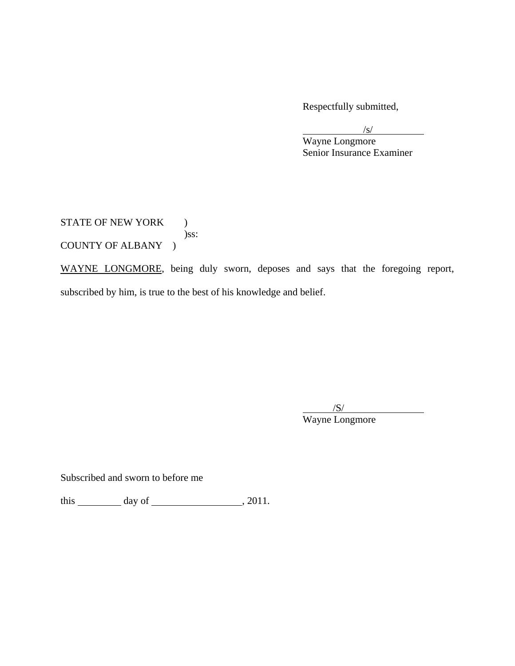Respectfully submitted,

 $\frac{1}{s}$ 

 Wayne Longmore Senior Insurance Examiner

STATE OF NEW YORK ) )ss: COUNTY OF ALBANY )

WAYNE LONGMORE, being duly sworn, deposes and says that the foregoing report, subscribed by him, is true to the best of his knowledge and belief.

 $\overline{\phantom{a}}$ /S/

Wayne Longmore

Subscribed and sworn to before me

this  $\_\_\_\_\_$  day of  $\_\_\_\_\_\_$ , 2011.